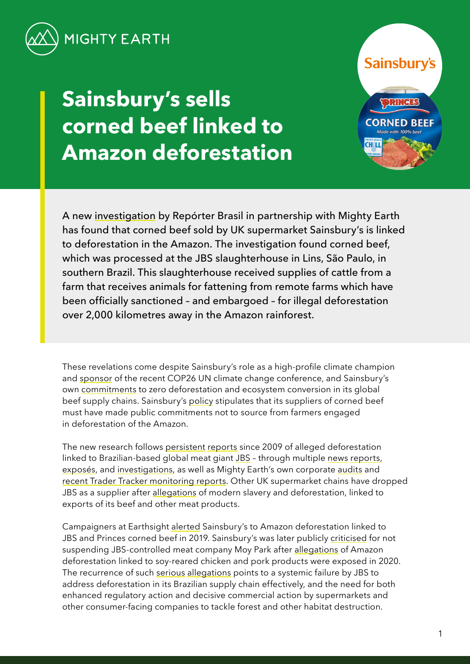

# **Sainsbury's sells corned beef linked to Amazon deforestation**

**Sainsburv's CORNED REEI CH LI** 

A new [investigation](https://reporterbrasil.org.br/wp-content/uploads/2021/12/Monitor-12-EN-FINAL.pdf) by Repórter Brasil in partnership with Mighty Earth has found that corned beef sold by UK supermarket Sainsbury's is linked to deforestation in the Amazon. The investigation found corned beef, which was processed at the JBS slaughterhouse in Lins, São Paulo, in southern Brazil. This slaughterhouse received supplies of cattle from a farm that receives animals for fattening from remote farms which have been officially sanctioned – and embargoed – for illegal deforestation over 2,000 kilometres away in the Amazon rainforest.

These revelations come despite Sainsbury's role as a high-profile climate champion and [sponsor](https://www.gov.uk/government/news/sainsburys-to-sponsor-cop26-climate-summit-in-glasgow) of the recent COP26 UN climate change conference, and Sainsbury's own [commitments](https://forest500.org/analysis/insights/are-uk-supermarkets-doing-enough-address-deforestation) to zero deforestation and ecosystem conversion in its global beef supply chains. Sainsbury's [policy](https://www.about.sainsburys.co.uk/~/media/Files/S/Sainsburys/CRS%20Policies%20and%20Reports/CDP%20Forests%20Disclosure%202021.pdf) stipulates that its suppliers of corned beef must have made public commitments not to source from farmers engaged in deforestation of the Amazon.

The new research follows [persistent](https://www.greenpeace.org/usa/wp-content/uploads/legacy/Global/usa/planet3/PDFs/slaughtering-the-amazon-part-1.pdf) [reports](https://www.greenpeace.org.uk/wp-content/uploads/2020/08/Greenpeace_StillSlaughtering_Spreads.pdf) since 2009 of alleged deforestation linked to Brazilian-based global meat giant [JBS](https://www.thebureauinvestigates.com/stories/2021-07-31/reign-of-fire-blazes-surge-on-protected-amazon-land-under-bolsonaro) – through multiple [news](https://www.globalwitness.org/en/campaigns/forests/beef-banks-and-brazilian-amazon/) [reports,](https://www.independent.co.uk/climate-change/news/tesco-meat-jbs-amazon-deforestation-b1888545.html) [exposés,](https://www.earthsight.org.uk/news/idm/brazil-corned-beef-jbs-uk-supermarkets-deforestation-amazon) and [investigations,](https://www.greenpeace.org/static/planet4-international-stateless/2021/03/77f3941a-0988_gp_pan_mincemeat_v9.95_mixedres.pdf) as well as Mighty Earth's own corporate [audits](https://stories.mightyearth.org/2021-beef-deforestation-scorecard/) and [recent Trader Tracker monitoring reports](https://www.mightyearth.org/soy-and-cattle-tracker/). Other UK supermarket chains have dropped JBS as a supplier after [allegations](https://www.theguardian.com/global-development/2017/jun/06/waitrose-pulls-its-corned-beef-off-shelves-after-guardian-reveals-alleged-slavery-links-brazil) of modern slavery and deforestation, linked to exports of its beef and other meat products.

Campaigners at Earthsight [alerted](https://www.earthsight.org.uk/news/idm/brazil-corned-beef-jbs-uk-supermarkets-deforestation-amazon) Sainsbury's to Amazon deforestation linked to JBS and Princes corned beef in 2019. Sainsbury's was later publicly [criticised](https://www.theguardian.com/environment/2020/aug/05/tesco-urged-to-ditch-meat-company-over-alleged-links-to-amazon-deforestation) for not suspending JBS-controlled meat company Moy Park after [allegations](https://www.theguardian.com/environment/2020/aug/05/tesco-urged-to-ditch-meat-company-over-alleged-links-to-amazon-deforestation) of Amazon deforestation linked to soy-reared chicken and pork products were exposed in 2020. The recurrence of such [serious](https://www.greenpeace.org/static/planet4-international-stateless/2020/08/60e2cd00-greenpeace_stillslaughtering_pages-1.pdf) [allegations](https://www.amnesty.org/en/wp-content/uploads/2021/05/AMR1926572020ENGLISH.pdf) points to a systemic failure by JBS to address deforestation in its Brazilian supply chain effectively, and the need for both enhanced regulatory action and decisive commercial action by supermarkets and other consumer-facing companies to tackle forest and other habitat destruction.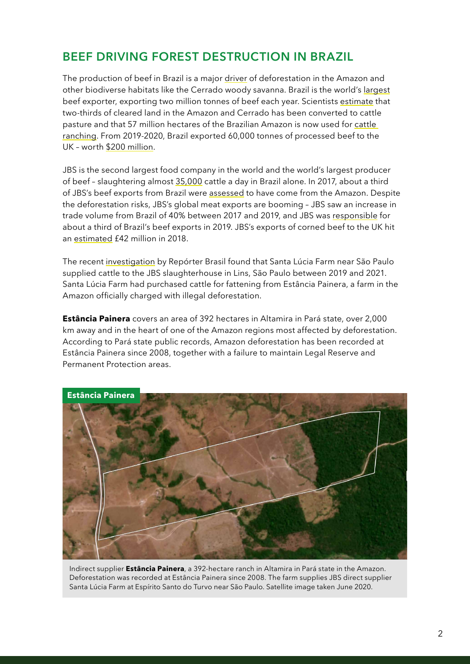## **BEEF DRIVING FOREST DESTRUCTION IN BRAZIL**

The production of beef in Brazil is a major [driver](https://www.pnas.org/content/117/50/31770) of deforestation in the Amazon and other biodiverse habitats like the Cerrado woody savanna. Brazil is the world's [largest](http://resources.trase.earth/documents/zuErmgassen-et-al._2020_PNAS.pdf) beef exporter, exporting two million tonnes of beef each year. Scientists [estimate](http://resources.trase.earth/documents/zuErmgassen-et-al._2020_PNAS.pdf) that two-thirds of cleared land in the Amazon and Cerrado has been converted to cattle pasture and that 57 million hectares of the Brazilian Amazon is now used for [cattle](https://mapbiomas-br-site.s3.amazonaws.com/Infograficos/Cole%C3%A7%C3%A3o6/MBI-Infografico-6.0-PTBR-amazonia.jpg)  [ranching](https://mapbiomas-br-site.s3.amazonaws.com/Infograficos/Cole%C3%A7%C3%A3o6/MBI-Infografico-6.0-PTBR-amazonia.jpg). From 2019-2020, Brazil exported 60,000 tonnes of processed beef to the UK – worth [\\$200 million](https://comtrade.un.org/).

JBS is the second largest food company in the world and the world's largest producer of beef – slaughtering almost [35,000](https://api.mziq.com/mzfilemanager/v2/d/043a77e1-0127-4502-bc5b-21427b991b22/538783c9-1d5e-953e-ba35-28f17db11226?origin=2) cattle a day in Brazil alone. In 2017, about a third of JBS's beef exports from Brazil were [assessed](https://www.greenpeace.org.uk/wp-content/uploads/2020/08/Greenpeace_StillSlaughtering_Spreads.pdf) to have come from the Amazon. Despite the deforestation risks, JBS's global meat exports are booming – JBS saw an increase in trade volume from Brazil of 40% between 2017 and 2019, and JBS was [responsible](https://www.greenpeace.org.uk/wp-content/uploads/2020/08/Greenpeace_StillSlaughtering_Spreads.pdf) for about a third of Brazil's beef exports in 2019. JBS's exports of corned beef to the UK hit an [estimated](https://www.earthsight.org.uk/news/idm/brazil-corned-beef-jbs-uk-supermarkets-deforestation-amazon)  $f$ 42 million in 2018.

The recent [investigation](https://reporterbrasil.org.br/wp-content/uploads/2021/12/Monitor-12-EN-FINAL.pdf) by Repórter Brasil found that Santa Lúcia Farm near São Paulo supplied cattle to the JBS slaughterhouse in Lins, São Paulo between 2019 and 2021. Santa Lúcia Farm had purchased cattle for fattening from Estância Painera, a farm in the Amazon officially charged with illegal deforestation.

**Estância Painera** covers an area of 392 hectares in Altamira in Pará state, over 2,000 km away and in the heart of one of the Amazon regions most affected by deforestation. According to Pará state public records, Amazon deforestation has been recorded at Estância Painera since 2008, together with a failure to maintain Legal Reserve and Permanent Protection areas.



Indirect supplier **Estância Painera**, a 392-hectare ranch in Altamira in Pará state in the Amazon. Deforestation was recorded at Estância Painera since 2008. The farm supplies JBS direct supplier Santa Lúcia Farm at Espírito Santo do Turvo near São Paulo. Satellite image taken June 2020.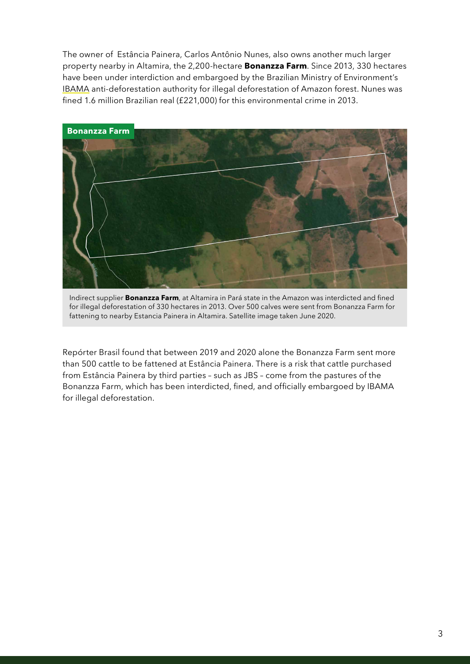The owner of Estância Painera, Carlos Antônio Nunes, also owns another much larger property nearby in Altamira, the 2,200-hectare **Bonanzza Farm**. Since 2013, 330 hectares have been under interdiction and embargoed by the Brazilian Ministry of Environment's [IBAMA](http://www.abc.gov.br/training/informacoes/InstituicaoIBAMA_en.aspx) anti-deforestation authority for illegal deforestation of Amazon forest. Nunes was fined 1.6 million Brazilian real (£221,000) for this environmental crime in 2013.



Indirect supplier **Bonanzza Farm**, at Altamira in Pará state in the Amazon was interdicted and fined for illegal deforestation of 330 hectares in 2013. Over 500 calves were sent from Bonanzza Farm for fattening to nearby Estancia Painera in Altamira. Satellite image taken June 2020.

Repórter Brasil found that between 2019 and 2020 alone the Bonanzza Farm sent more than 500 cattle to be fattened at Estância Painera. There is a risk that cattle purchased from Estância Painera by third parties – such as JBS – come from the pastures of the Bonanzza Farm, which has been interdicted, fined, and officially embargoed by IBAMA for illegal deforestation.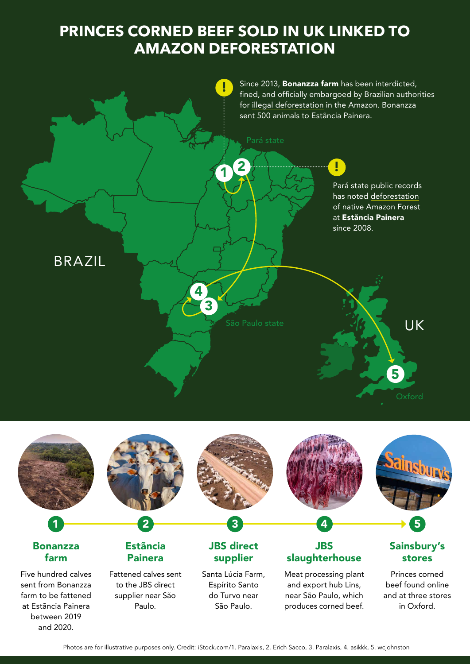## **PRINCES CORNED BEEF SOLD IN UK LINKED TO AMAZON DEFORESTATION**



and 2020.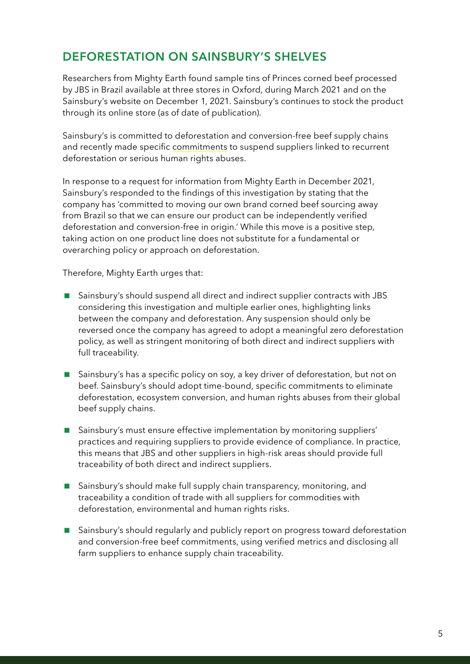## **DEFORESTATION ON SAINSBURY'S SHELVES**

Researchers from Mighty Earth found sample tins of Princes corned beef processed by JBS in Brazil available at three stores in Oxford, during March 2021 and on the Sainsbury's website on December 1, 2021. Sainsbury's continues to stock the product through its online store (as of date of publication).

Sainsbury's is committed to deforestation and conversion-free beef supply chains and recently made specific [commitments](http://www.retailsoygroup.org/wp-content/uploads/2021/10/Deforestation-free-principles_final.pdf#page=6) to suspend suppliers linked to recurrent deforestation or serious human rights abuses.

In response to a request for information from Mighty Earth in December 2021, Sainsbury's responded to the findings of this investigation by stating that the company has 'committed to moving our own brand corned beef sourcing away from Brazil so that we can ensure our product can be independently verified deforestation and conversion-free in origin.' While this move is a positive step, taking action on one product line does not substitute for a fundamental or overarching policy or approach on deforestation.

Therefore, Mighty Earth urges that:

- Sainsbury's should suspend all direct and indirect supplier contracts with JBS considering this investigation and multiple earlier ones, highlighting links between the company and deforestation. Any suspension should only be reversed once the company has agreed to adopt a meaningful zero deforestation policy, as well as stringent monitoring of both direct and indirect suppliers with full traceability.
- **Sainsbury's has a specific policy on soy, a key driver of deforestation, but not on** beef. Sainsbury's should adopt time-bound, specific commitments to eliminate deforestation, ecosystem conversion, and human rights abuses from their global beef supply chains.
- Sainsbury's must ensure effective implementation by monitoring suppliers' practices and requiring suppliers to provide evidence of compliance. In practice, this means that JBS and other suppliers in high-risk areas should provide full traceability of both direct and indirect suppliers.
- Sainsbury's should make full supply chain transparency, monitoring, and traceability a condition of trade with all suppliers for commodities with deforestation, environmental and human rights risks.
- Sainsbury's should regularly and publicly report on progress toward deforestation and conversion-free beef commitments, using verified metrics and disclosing all farm suppliers to enhance supply chain traceability.